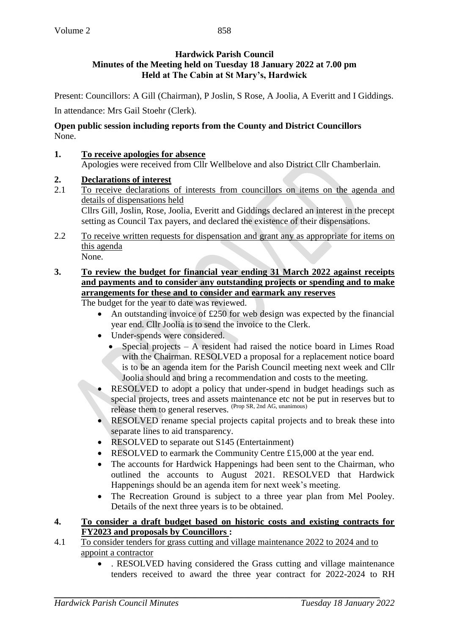Present: Councillors: A Gill (Chairman), P Joslin, S Rose, A Joolia, A Everitt and I Giddings.

In attendance: Mrs Gail Stoehr (Clerk).

### **Open public session including reports from the County and District Councillors** None.

**1. To receive apologies for absence**

Apologies were received from Cllr Wellbelove and also District Cllr Chamberlain.

## **2. Declarations of interest**

- 2.1 To receive declarations of interests from councillors on items on the agenda and details of dispensations held Cllrs Gill, Joslin, Rose, Joolia, Everitt and Giddings declared an interest in the precept setting as Council Tax payers, and declared the existence of their dispensations.
- 2.2 To receive written requests for dispensation and grant any as appropriate for items on this agenda None.
- **3. To review the budget for financial year ending 31 March 2022 against receipts and payments and to consider any outstanding projects or spending and to make arrangements for these and to consider and earmark any reserves**

The budget for the year to date was reviewed.

- An outstanding invoice of £250 for web design was expected by the financial year end. Cllr Joolia is to send the invoice to the Clerk.
- Under-spends were considered.
	- Special projects A resident had raised the notice board in Limes Road with the Chairman. RESOLVED a proposal for a replacement notice board is to be an agenda item for the Parish Council meeting next week and Cllr Joolia should and bring a recommendation and costs to the meeting.
- RESOLVED to adopt a policy that under-spend in budget headings such as special projects, trees and assets maintenance etc not be put in reserves but to release them to general reserves. (Prop SR, 2nd AG, unanimous)
- RESOLVED rename special projects capital projects and to break these into separate lines to aid transparency.
- RESOLVED to separate out S145 (Entertainment)
- RESOLVED to earmark the Community Centre £15,000 at the year end.
- The accounts for Hardwick Happenings had been sent to the Chairman, who outlined the accounts to August 2021. RESOLVED that Hardwick Happenings should be an agenda item for next week's meeting.
- The Recreation Ground is subject to a three year plan from Mel Pooley. Details of the next three years is to be obtained.
- **4. To consider a draft budget based on historic costs and existing contracts for FY2023 and proposals by Councillors :**
- 4.1 To consider tenders for grass cutting and village maintenance 2022 to 2024 and to appoint a contractor
	- . RESOLVED having considered the Grass cutting and village maintenance tenders received to award the three year contract for 2022-2024 to RH